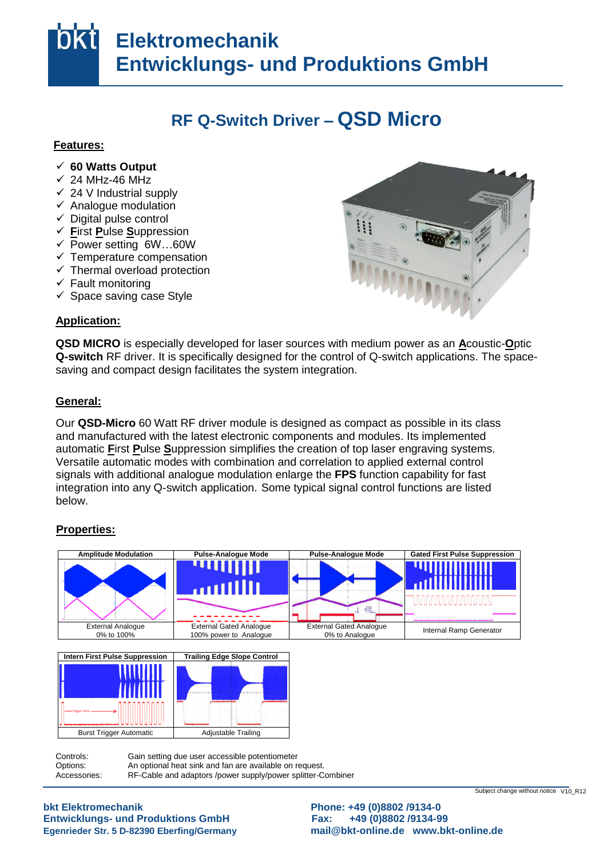# **Elektromechanik Entwicklungs- und Produktions GmbH**

## **RF Q-Switch Driver – QSD Micro**

### **Features:**

- **60 Watts Output** aus
- $\times$  24 MHz-46 MHz
- $\checkmark$  24 V Industrial supply
- $\checkmark$  Analogue modulation
- $\checkmark$  Digital pulse control
- ▼ Digital pulse control<br>✓ **F**irst Pulse Suppression
- $\overline{P}$  Power setting 6W...60W
- $\checkmark$  Temperature compensation
- $\checkmark$  Thermal overload protection
- $\checkmark$  Fault monitoring
- ↓ Tault monitoring<br>
↓ Space saving case Style interess

## Application:

**QSD MICRO** is especially developed for laser sources with medium power as an **A**coustic-Optic Q-switch RF driver. It is specifically designed for the control of Q-switch applications. The spacesaving and compact design facilitates the system integration.

#### **General:** das <u>General:</u>

Our QSD-Micro 60 Watt RF driver module is designed as compact as possible in its class and manufactured with the latest electronic components and modules. Its implemented automatic **First Pulse Suppression simplifies the creation of top laser engraving system**<br>Versatile automatic modes with combination and correlation to applied external control Stelle signals with additional analogue modulation enlarge the **FPS** function capability for fast im integration into any Q-switch application. Some typical signal control functions are listed below. automatic **F**irst **P**ulse **S**uppression simplifies the creation of top laser engraving systems.

## **Properties:** <u>r ruperus</u>



Controls: Options: Accessories: Gain setting due user accessible potentiometer An optional heat sink and fan are available on request. RF-Cable and adaptors /power supply/power splitter-Combiner

**Entwicklungs- und Produktions GmbH Fax: +49 (0)8802 /9134-99** ändern bkt Elektromechanik

**bkt Elektromechanik Phone: +49 (0)8802 /9134-0**  Egenrieder Str. 5 D-82390 Eberfing/Germany **and [mail@bkt-online.de](mailto:mail@bkt-online.de)** www.bkt-online.de

Subject change without notice V10\_R12